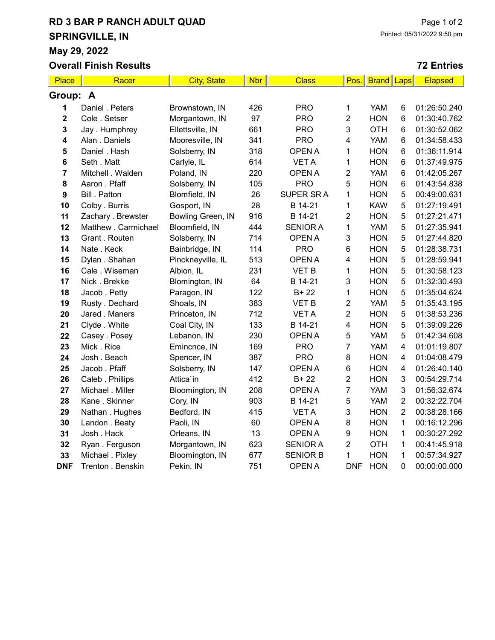## RD 3 BAR P RANCH ADULT QUAD SPRINGVILLE, IN

May 29, 2022

Overall Finish Results

## 72 Entries

| Place       | Racer                | <b>City, State</b> | <b>Nbr</b> | <b>Class</b>    | Pos.                    | <b>Brand</b> | Laps           | <b>Elapsed</b> |  |  |
|-------------|----------------------|--------------------|------------|-----------------|-------------------------|--------------|----------------|----------------|--|--|
| Group: A    |                      |                    |            |                 |                         |              |                |                |  |  |
| 1           | Daniel . Peters      | Brownstown, IN     | 426        | <b>PRO</b>      | 1                       | <b>YAM</b>   | 6              | 01:26:50.240   |  |  |
| $\mathbf 2$ | Cole . Setser        | Morgantown, IN     | 97         | <b>PRO</b>      | $\overline{2}$          | <b>HON</b>   | 6              | 01:30:40.762   |  |  |
| 3           | Jay. Humphrey        | Ellettsville, IN   | 661        | <b>PRO</b>      | 3                       | <b>OTH</b>   | 6              | 01:30:52.062   |  |  |
| 4           | Alan . Daniels       | Mooresville, IN    | 341        | <b>PRO</b>      | 4                       | <b>YAM</b>   | 6              | 01:34:58.433   |  |  |
| 5           | Daniel . Hash        | Solsberry, IN      | 318        | <b>OPEN A</b>   | 1                       | <b>HON</b>   | 6              | 01:36:11.914   |  |  |
| 6           | Seth . Matt          | Carlyle, IL        | 614        | <b>VETA</b>     | 1                       | <b>HON</b>   | 6              | 01:37:49.975   |  |  |
| 7           | Mitchell . Walden    | Poland, IN         | 220        | <b>OPEN A</b>   | $\overline{2}$          | <b>YAM</b>   | 6              | 01:42:05.267   |  |  |
| 8           | Aaron . Pfaff        | Solsberry, IN      | 105        | <b>PRO</b>      | 5                       | <b>HON</b>   | 6              | 01:43:54.838   |  |  |
| 9           | <b>Bill</b> . Patton | Blomfield, IN      | 26         | SUPER SR A      | 1                       | <b>HON</b>   | 5              | 00:49:00.631   |  |  |
| 10          | Colby . Burris       | Gosport, IN        | 28         | B 14-21         | 1                       | <b>KAW</b>   | 5              | 01:27:19.491   |  |  |
| 11          | Zachary . Brewster   | Bowling Green, IN  | 916        | B 14-21         | $\overline{2}$          | <b>HON</b>   | 5              | 01:27:21.471   |  |  |
| 12          | Matthew . Carmichael | Bloomfield, IN     | 444        | <b>SENIOR A</b> | $\mathbf{1}$            | <b>YAM</b>   | 5              | 01:27:35.941   |  |  |
| 13          | Grant . Routen       | Solsberry, IN      | 714        | <b>OPEN A</b>   | 3                       | <b>HON</b>   | 5              | 01:27:44.820   |  |  |
| 14          | Nate . Keck          | Bainbridge, IN     | 114        | <b>PRO</b>      | 6                       | <b>HON</b>   | $\mathbf 5$    | 01:28:38.731   |  |  |
| 15          | Dylan . Shahan       | Pinckneyville, IL  | 513        | <b>OPEN A</b>   | 4                       | <b>HON</b>   | 5              | 01:28:59.941   |  |  |
| 16          | Cale . Wiseman       | Albion, IL         | 231        | <b>VET B</b>    | 1                       | <b>HON</b>   | 5              | 01:30:58.123   |  |  |
| 17          | Nick. Brekke         | Blomington, IN     | 64         | B 14-21         | 3                       | <b>HON</b>   | 5              | 01:32:30.493   |  |  |
| 18          | Jacob . Petty        | Paragon, IN        | 122        | $B+22$          | 1                       | <b>HON</b>   | 5              | 01:35:04.624   |  |  |
| 19          | Rusty . Dechard      | Shoals, IN         | 383        | <b>VET B</b>    | $\overline{2}$          | <b>YAM</b>   | 5              | 01:35:43.195   |  |  |
| 20          | Jared . Maners       | Princeton, IN      | 712        | <b>VETA</b>     | $\overline{2}$          | <b>HON</b>   | 5              | 01:38:53.236   |  |  |
| 21          | Clyde . White        | Coal City, IN      | 133        | B 14-21         | $\overline{\mathbf{4}}$ | <b>HON</b>   | 5              | 01:39:09.226   |  |  |
| 22          | Casey . Posey        | Lebanon, IN        | 230        | <b>OPEN A</b>   | 5                       | <b>YAM</b>   | 5              | 01:42:34.608   |  |  |
| 23          | Mick. Rice           | Emincnce, IN       | 169        | <b>PRO</b>      | $\overline{7}$          | <b>YAM</b>   | 4              | 01:01:19.807   |  |  |
| 24          | Josh . Beach         | Spencer, IN        | 387        | <b>PRO</b>      | 8                       | <b>HON</b>   | 4              | 01:04:08.479   |  |  |
| 25          | Jacob. Pfaff         | Solsberry, IN      | 147        | <b>OPEN A</b>   | 6                       | <b>HON</b>   | 4              | 01:26:40.140   |  |  |
| 26          | Caleb . Phillips     | Attica'in          | 412        | $B+22$          | $\overline{2}$          | <b>HON</b>   | 3              | 00:54:29.714   |  |  |
| 27          | Michael . Miller     | Bloomington, IN    | 208        | <b>OPEN A</b>   | $\overline{7}$          | <b>YAM</b>   | 3              | 01:56:32.674   |  |  |
| 28          | Kane . Skinner       | Cory, IN           | 903        | B 14-21         | 5                       | <b>YAM</b>   | $\overline{2}$ | 00:32:22.704   |  |  |
| 29          | Nathan . Hughes      | Bedford, IN        | 415        | <b>VET A</b>    | 3                       | <b>HON</b>   | $\overline{2}$ | 00:38:28.166   |  |  |
| 30          | Landon . Beaty       | Paoli, IN          | 60         | <b>OPEN A</b>   | 8                       | <b>HON</b>   | $\mathbf 1$    | 00:16:12.296   |  |  |
| 31          | Josh. Hack           | Orleans, IN        | 13         | <b>OPEN A</b>   | 9                       | <b>HON</b>   | 1              | 00:30:27.292   |  |  |
| 32          | Ryan. Ferguson       | Morgantown, IN     | 623        | <b>SENIOR A</b> | $\overline{2}$          | <b>OTH</b>   | 1              | 00:41:45.918   |  |  |
| 33          | Michael . Pixley     | Bloomington, IN    | 677        | <b>SENIOR B</b> | $\mathbf{1}$            | <b>HON</b>   | 1              | 00:57:34.927   |  |  |
| <b>DNF</b>  | Trenton . Benskin    | Pekin, IN          | 751        | <b>OPENA</b>    | <b>DNF</b>              | <b>HON</b>   | 0              | 00:00:00.000   |  |  |